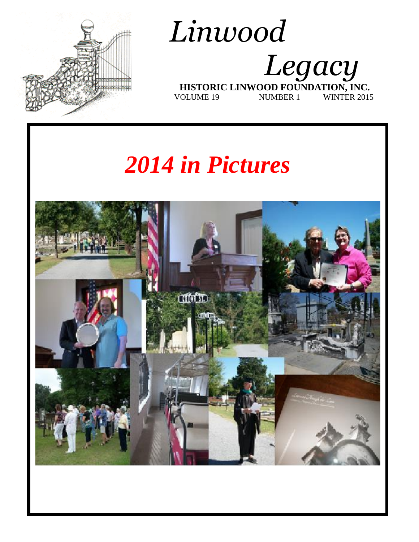

## *Linwood Legacy*   **HISTORIC LINWOOD FOUNDATION, INC.** VOLUME 19 NUMBER 1 WINTER 2015

# *2014 in Pictures*

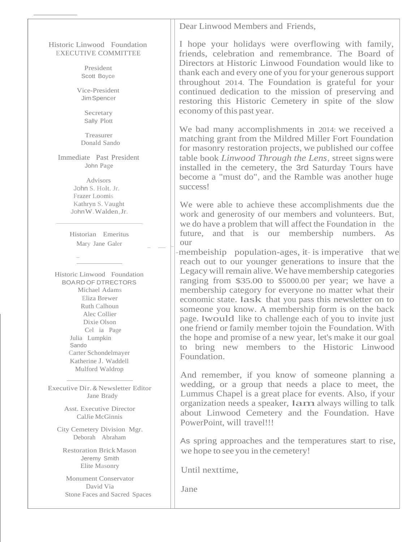Dear Linwood Members and Friends,

#### Historic Linwood Foundation EXECUTIVE COMMITTEE

President Scott Boyce

Vice-President JimSpencer

> Secretary Sally Plott

Treasurer Donald Sando

Immediate Past President John Page

> Advisors John S. Holt. Jr. Frazer Loomis Kathryn S. Vaught JohnW.Walden,Jr.

Historian Emeritus Mary Jane Galer

 $\overline{a}$ 

Historic Linwood Foundation BOARDOF DTRECTORS Michael Adams Eliza Brewer Ruth Calhoun Alec Collier Dixie Olson Cel ia Page Julia Lumpkin Sando Carter Schondelmayer Katherine J. Waddell Mulford Waldrop

Executive Dir.& Newsletter Editor Jane Brady

> Asst. Executive Director CalJie McGinnis

City Cemetery Division Mgr. Deborah Abraham

Restoration BrickMason Jeremy Smith Elite Masonry

Monument Conservator David Via Stone Faces and Sacred Spaces I hope your holidays were overflowing with family, friends, celebration and remembrance. The Board of Directors at Historic Linwood Foundation would like to thank each and every one of you for your generous support throughout 2014. The Foundation is grateful for your continued dedication to the mission of preserving and restoring this Historic Cemetery in spite of the slow economy of this past year.

We bad many accomplishments in 2014: we received a matching grant from the Mildred Miller Fort Foundation for masonry restoration projects, we published our coffee table book *Linwood Through the Lens,* street signswere installed in the cemetery, the 3rd Saturday Tours have become a "must do", and the Ramble was another huge success!

We were able to achieve these accomplishments due the work and generosity of our members and volunteers. But, we do have a problem that will affect the Foundation in the future, and that is our membership numbers. As our

membeiship population-ages, it- is imperative that we reach out to our younger generations to insure that the Legacy will remain alive. We have membership categories ranging from \$35.00 to \$5000.00 per year; we have a membership category for everyone no matter what their economic state. Iask that you pass this newsletter on to someone you know. A membership form is on the back page. Iwould like to challenge each of you to invite just one friend or family member tojoin the Foundation. With the hope and promise of a new year, let's make it our goal to bring new members to the Historic Linwood Foundation.

And remember, if you know of someone planning a wedding, or a group that needs a place to meet, the Lummus Chapel is a great place for events. Also, if your organization needs a speaker, Iamalways willing to talk about Linwood Cemetery and the Foundation. Have PowerPoint, will travel!!!

As spring approaches and the temperatures start to rise, we hope to see you in the cemetery!

Until nexttime,

Jane

 $\sqcup$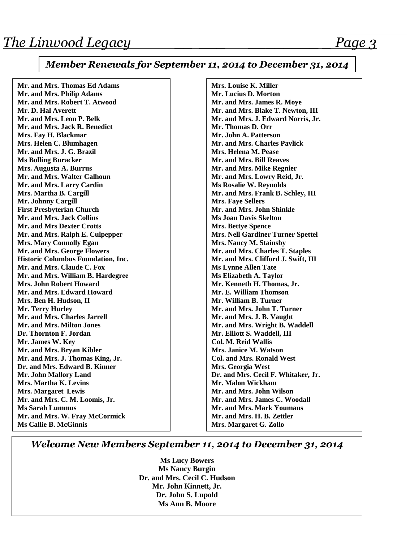#### *Member Renewals for September 11, 2014 to December 31, 2014*

| Mr. and Mrs. Thomas Ed Adams              | Mrs. Louise K. Miller                    |
|-------------------------------------------|------------------------------------------|
| Mr. and Mrs. Philip Adams                 | Mr. Lucius D. Morton                     |
| Mr. and Mrs. Robert T. Atwood             | Mr. and Mrs. James R. Moye               |
| Mr. D. Hal Averett                        | Mr. and Mrs. Blake T. Newton, III        |
| Mr. and Mrs. Leon P. Belk                 | Mr. and Mrs. J. Edward Norris, Jr.       |
| Mr. and Mrs. Jack R. Benedict             | Mr. Thomas D. Orr                        |
| Mrs. Fay H. Blackmar                      | Mr. John A. Patterson                    |
| Mrs. Helen C. Blumhagen                   | Mr. and Mrs. Charles Pavlick             |
| Mr. and Mrs. J. G. Brazil                 | Mrs. Helena M. Pease                     |
| <b>Ms Bolling Buracker</b>                | Mr. and Mrs. Bill Reaves                 |
| Mrs. Augusta A. Burrus                    | Mr. and Mrs. Mike Regnier                |
| Mr. and Mrs. Walter Calhoun               | Mr. and Mrs. Lowry Reid, Jr.             |
| Mr. and Mrs. Larry Cardin                 | Ms Rosalie W. Reynolds                   |
| Mrs. Martha B. Cargill                    | Mr. and Mrs. Frank B. Schley, III        |
| Mr. Johnny Cargill                        | <b>Mrs. Faye Sellers</b>                 |
| <b>First Presbyterian Church</b>          | Mr. and Mrs. John Shinkle                |
| Mr. and Mrs. Jack Collins                 | <b>Ms Joan Davis Skelton</b>             |
| <b>Mr. and Mrs Dexter Crotts</b>          | <b>Mrs. Bettye Spence</b>                |
| Mr. and Mrs. Ralph E. Culpepper           | <b>Mrs. Nell Gardiner Turner Spettel</b> |
| <b>Mrs. Mary Connolly Egan</b>            | Mrs. Nancy M. Stainsby                   |
| Mr. and Mrs. George Flowers               | Mr. and Mrs. Charles T. Staples          |
| <b>Historic Columbus Foundation, Inc.</b> | Mr. and Mrs. Clifford J. Swift, III      |
| Mr. and Mrs. Claude C. Fox                | <b>Ms Lynne Allen Tate</b>               |
| Mr. and Mrs. William B. Hardegree         | Ms Elizabeth A. Taylor                   |
| <b>Mrs. John Robert Howard</b>            | Mr. Kenneth H. Thomas, Jr.               |
| Mr. and Mrs. Edward Howard                | Mr. E. William Thomson                   |
| Mrs. Ben H. Hudson, II                    | Mr. William B. Turner                    |
| Mr. Terry Hurley                          | Mr. and Mrs. John T. Turner              |
| Mr. and Mrs. Charles Jarrell              | Mr. and Mrs. J. B. Vaught                |
| Mr. and Mrs. Milton Jones                 | Mr. and Mrs. Wright B. Waddell           |
| Dr. Thornton F. Jordan                    | Mr. Elliott S. Waddell, III              |
| Mr. James W. Key                          | <b>Col. M. Reid Wallis</b>               |
| Mr. and Mrs. Bryan Kibler                 | Mrs. Janice M. Watson                    |
| Mr. and Mrs. J. Thomas King, Jr.          | <b>Col. and Mrs. Ronald West</b>         |
| Dr. and Mrs. Edward B. Kinner             | Mrs. Georgia West                        |
| Mr. John Mallory Land                     | Dr. and Mrs. Cecil F. Whitaker, Jr.      |
| Mrs. Martha K. Levins                     | Mr. Malon Wickham                        |
| <b>Mrs. Margaret Lewis</b>                | Mr. and Mrs. John Wilson                 |
| Mr. and Mrs. C. M. Loomis, Jr.            | Mr. and Mrs. James C. Woodall            |
| <b>Ms Sarah Lummus</b>                    | <b>Mr. and Mrs. Mark Youmans</b>         |
| Mr. and Mrs. W. Fray McCormick            | Mr. and Mrs. H. B. Zettler               |
| <b>Ms Callie B. McGinnis</b>              | Mrs. Margaret G. Zollo                   |
|                                           |                                          |

#### *Welcome New Members September 11, 2014 to December 31, 2014*

**Ms Lucy Bowers Ms Nancy Burgin Dr. and Mrs. Cecil C. Hudson Mr. John Kinnett, Jr. Dr. John S. Lupold Ms Ann B. Moore**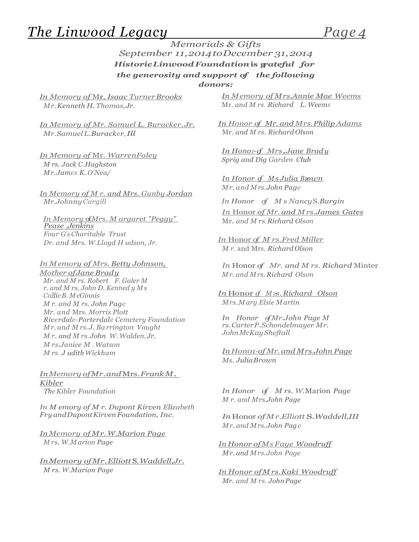### *The Linwood Legacy Page 4*

#### *Memorials & Gifts September 11,2014toDecember 31,2014 HistoricLinwoodFoundation***is g***rateful for the generosity and support of the following donors:*

*In Memory of* Mr. *Isaac TurnerBrooks Mr.Kenneth H. Thomas,Jr.*

*In Memory of Mr. Samuel L. Buracker, Jr. Mr.SamuelL.Buracker,Ill*

*In Memory of* Mr. *WarrenFoley M rs. Jack* C.*Hughston Mr.James K. O'Nea/*

*In Memory of M r. and Mrs. Gunby Jordan Mr.JohnnyCargill In Honor of M s Nancy*S.*Burgin*

*In Memory of Mrs. M argaret "Peggy" Pease ,Jenkins Four G's Charitable Trust Dr. and Mrs. W.Lloyd H udson, Jr.*

*In Memory of Mrs. Betty Johnson, Mother ofJane Brady Mr. and M rs. Robert F. Galer M r. and M rs. John D. Kenned y Ms CallieB. McGinnis M r. and M rs. John Page Mr. and* Mrs. *Morris Plott Riverdale-Porterdale Cemetery Foundation Mr. and M rs.J. Ba rrington Vaught M r. and M rs.John W. Walden, Jr. M rs.Janice M . Watson M rs. J udithWickham*

*InMemory ofMr.and*Mrs.*FrankM. Kibler*

*In M emory of M r. Dupont Kirven Elizabeth Fry andDupontKirven Foundation, Inc.*

*InMemory of Mr.W.Marion Page M rs. W.M arion Page*

*InMemory ofMr.Elliott* S.*Waddell,Jr. M rs. W.Marion Page*

*In Memory of Mrs.Annie Mae Weems* Mr. *and M rs. Richard L. Weems*

*In Honor of Mr.and Mrs.PhilipAdams* Mr. *and M rs. Richard Olson*

*In Hono1·of Mrs.Jane Brad <sup>y</sup> Sprig and Dig Garden Club*

*In Honor of MsJulia B10wn Mr. and Mrs.John Page*

*In* Honor *of Mr. and Mrs.James Gates* Mr. *and M rs.Richard Olson*

*In* Honor *of M rs.Fred Miller M r.* and Mrs. *Richard Olson*

*In* Honor *of Mr. and M rs. Richard* Minter *Mr. and Mrs. Richard Olson*

*In* Honor *of <sup>M</sup> 1·s.Richard Olson Mrs.Mary Elsie Martin*

*In Honor ofMr.John Page M rs.CarterP.Schondelmayer Mr. JohnMcKay Sheftall*

*In Hon01·of Mr.and Mrs.John Page Ms. JuliaBrown*

*In Honor of M rs. W.Marion Page M r. and Mrs.John Page*

*In* Honor *of Mr.Elliott* S.*Waddell,III Mr. and Mrs.John Page*

*In Honor ofMs Faye Woodruff Mr. and Mrs.John Page*

*In Honor ofMrs.Kaki Woodruff Mr. and M rs. JohnPage*